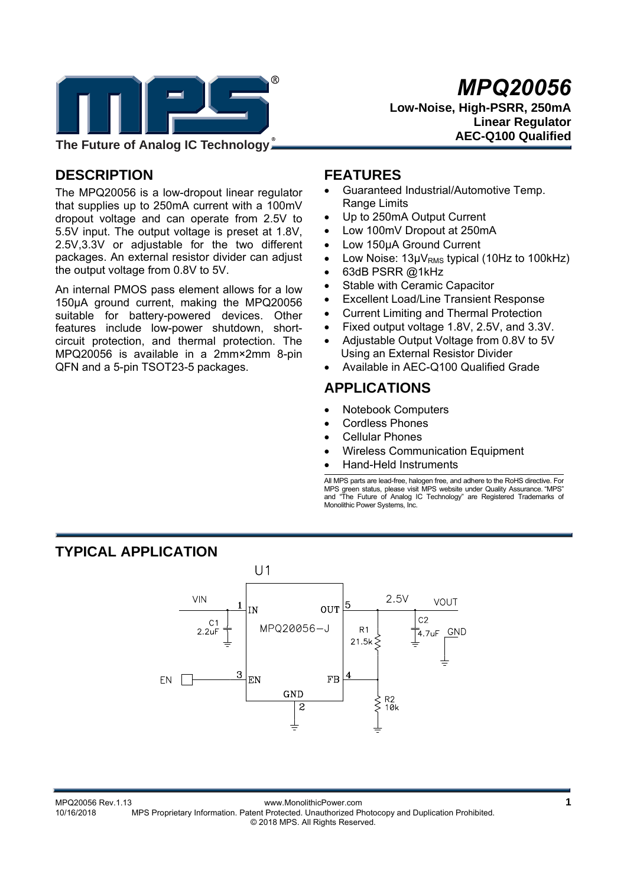

*MPQ20056* 

**Low-Noise, High-PSRR, 250mA Linear Regulator AEC-Q100 Qualified** 

# **DESCRIPTION**

The MPQ20056 is a low-dropout linear regulator that supplies up to 250mA current with a 100mV dropout voltage and can operate from 2.5V to 5.5V input. The output voltage is preset at 1.8V, 2.5V,3.3V or adjustable for the two different packages. An external resistor divider can adjust the output voltage from 0.8V to 5V.

An internal PMOS pass element allows for a low 150μA ground current, making the MPQ20056 suitable for battery-powered devices. Other features include low-power shutdown, shortcircuit protection, and thermal protection. The MPQ20056 is available in a 2mm×2mm 8-pin QFN and a 5-pin TSOT23-5 packages.

## **FEATURES**

- Guaranteed Industrial/Automotive Temp. Range Limits
- Up to 250mA Output Current
- Low 100mV Dropout at 250mA
- Low 150μA Ground Current
- Low Noise: 13μV<sub>RMS</sub> typical (10Hz to 100kHz)
- 63dB PSRR @1kHz
- Stable with Ceramic Capacitor
- Excellent Load/Line Transient Response
- Current Limiting and Thermal Protection
- Fixed output voltage 1.8V, 2.5V, and 3.3V.
- Adjustable Output Voltage from 0.8V to 5V Using an External Resistor Divider
- Available in AEC-Q100 Qualified Grade

## **APPLICATIONS**

- Notebook Computers
- Cordless Phones
- Cellular Phones
- Wireless Communication Equipment
- Hand-Held Instruments

All MPS parts are lead-free, halogen free, and adhere to the RoHS directive. For MPS green status, please visit MPS website under Quality Assurance. "MPS" and "The Future of Analog IC Technology" are Registered Trademarks of Monolithic Power Systems, Inc.

# **TYPICAL APPLICATION**

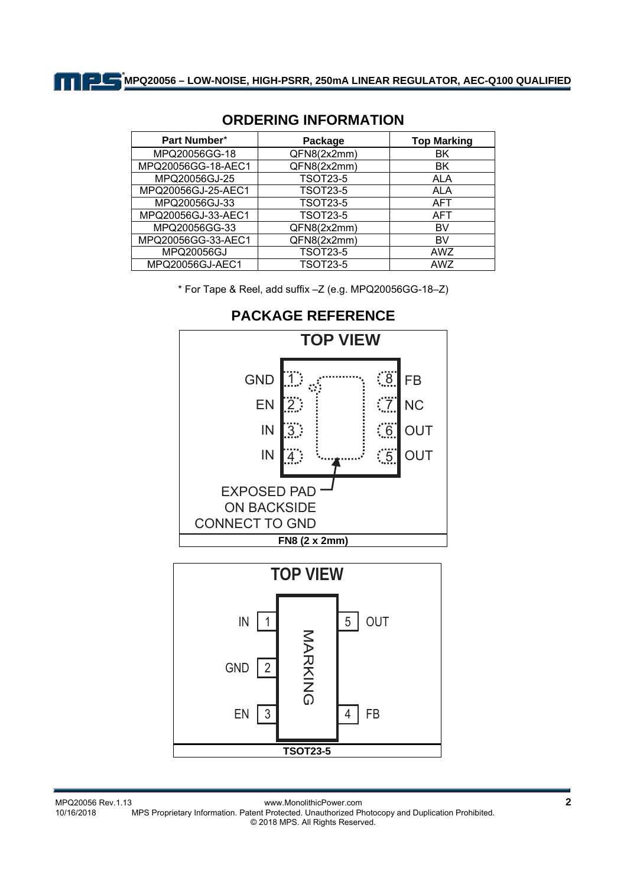| Part Number*       | Package         | <b>Top Marking</b> |  |
|--------------------|-----------------|--------------------|--|
| MPQ20056GG-18      | QFN8(2x2mm)     | ΒK                 |  |
| MPQ20056GG-18-AEC1 | QFN8(2x2mm)     | ΒK                 |  |
| MPQ20056GJ-25      | <b>TSOT23-5</b> | <b>ALA</b>         |  |
| MPQ20056GJ-25-AEC1 | <b>TSOT23-5</b> | <b>ALA</b>         |  |
| MPQ20056GJ-33      | <b>TSOT23-5</b> | <b>AFT</b>         |  |
| MPQ20056GJ-33-AEC1 | <b>TSOT23-5</b> | <b>AFT</b>         |  |
| MPQ20056GG-33      | QFN8(2x2mm)     | BV                 |  |
| MPQ20056GG-33-AEC1 | QFN8(2x2mm)     | BV                 |  |
| MPQ20056GJ         | <b>TSOT23-5</b> | AWZ                |  |
| MPQ20056GJ-AEC1    | <b>TSOT23-5</b> | AWZ                |  |

## **ORDERING INFORMATION**

\* For Tape & Reel, add suffix –Z (e.g. MPQ20056GG-18–Z)

**TOP VIEW** GND 1  $\frac{1}{2}$ FB EN NC : 7  $2:$ OUT IN  $\frac{1}{6}$  $3$  :  $\overline{4}$ :  $\ddot{\phantom{0}}\phantom{0}5$ IN **OUT** EXPOSED PAD ON BACKSIDE CONNECT TO GND **FN8 (2 x 2mm) TOP VIEW** IN 5 OUT 1 NARKING MARKING<br>G GND 2 EN 3 4 FB

**TSOT23-5** 

**PACKAGE REFERENCE**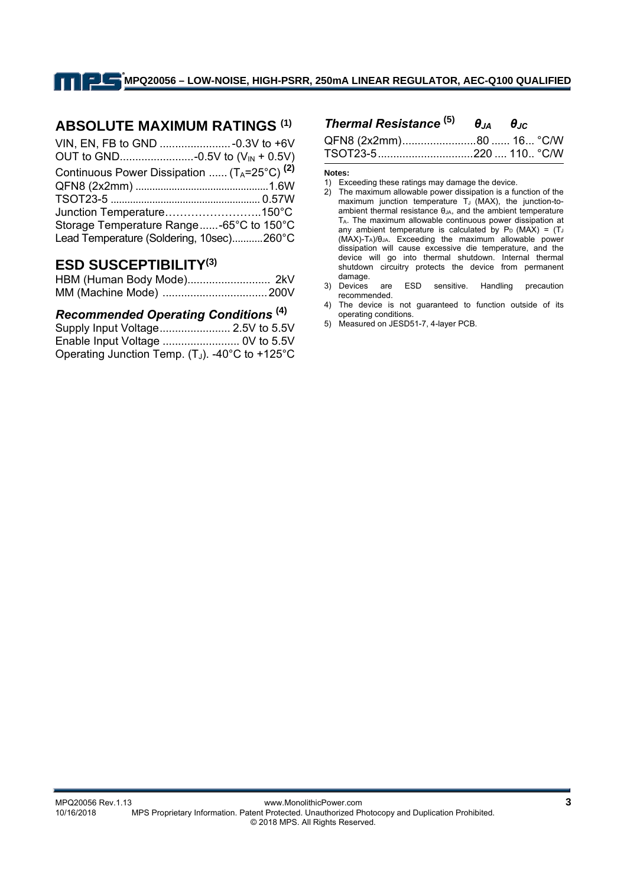## **ABSOLUTE MAXIMUM RATINGS (1)**

| Continuous Power Dissipation $(T_A=25^{\circ}C)^{(2)}$ |
|--------------------------------------------------------|
|                                                        |
|                                                        |
|                                                        |
| Storage Temperature Range-65°C to 150°C                |
| Lead Temperature (Soldering, 10sec)260°C               |
|                                                        |

## **ESD SUSCEPTIBILITY(3)**

#### *Recommended Operating Conditions* **(4)**

| Supply Input Voltage 2.5V to 5.5V                  |  |
|----------------------------------------------------|--|
|                                                    |  |
| Operating Junction Temp. $(T_J)$ . -40°C to +125°C |  |

## *Thermal Resistance* **(5)** *θJA θJC* QFN8 (2x2mm) ........................ 80 ...... 16 ... °C/W

|  | TSOT23-5220  110 °C/W |  |
|--|-----------------------|--|

#### **Notes:**

- 2) The maximum allowable power dissipation is a function of the maximum junction temperature  $T_J$  (MAX), the junction-toambient thermal resistance  $\theta_{JA}$ , and the ambient temperature TA. The maximum allowable continuous power dissipation at any ambient temperature is calculated by  $P_D$  (MAX) = (TJ) (MAX)-TA)/θJA. Exceeding the maximum allowable power dissipation will cause excessive die temperature, and the device will go into thermal shutdown. Internal thermal shutdown circuitry protects the device from permanent damage.
- 3) Devices are ESD sensitive. Handling precaution recommended.
- 4) The device is not guaranteed to function outside of its operating conditions.
- 5) Measured on JESD51-7, 4-layer PCB.

<sup>1)</sup> Exceeding these ratings may damage the device.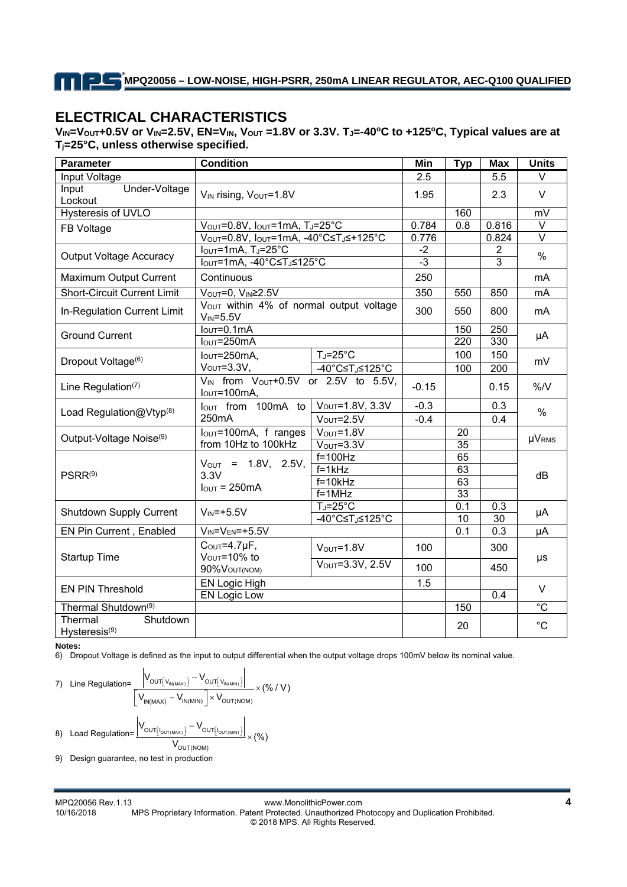# **ELECTRICAL CHARACTERISTICS**

V<sub>IN</sub>=V<sub>OUT</sub>+0.5V or V<sub>IN</sub>=2.5V, EN=V<sub>IN</sub>, V<sub>OUT</sub> =1.8V or 3.3V. T<sub>J</sub>=-40°C to +125°C, Typical values are at **Tj=25°C, unless otherwise specified.**

| <b>Parameter</b>                                 | <b>Condition</b>                                                                                                             |                        | Min     | <b>Typ</b>      | <b>Max</b>     | <b>Units</b>      |
|--------------------------------------------------|------------------------------------------------------------------------------------------------------------------------------|------------------------|---------|-----------------|----------------|-------------------|
| Input Voltage                                    |                                                                                                                              |                        | 2.5     |                 | 5.5            | $\vee$            |
| Under-Voltage<br>Input<br>Lockout                | V <sub>IN</sub> rising, V <sub>OUT</sub> =1.8V                                                                               |                        | 1.95    |                 | 2.3            | $\vee$            |
| <b>Hysteresis of UVLO</b>                        |                                                                                                                              |                        |         | 160             |                | mV                |
| FB Voltage                                       | VOUT=0.8V, IOUT=1mA, TJ=25°C                                                                                                 |                        | 0.784   | 0.8             | 0.816          | $\overline{\vee}$ |
|                                                  | $V_{\text{OUT}} = 0.8V$ , $I_{\text{OUT}} = 1 \text{mA}$ , $-40^{\circ}\text{C} \leq T_{\text{J}} \leq +125^{\circ}\text{C}$ |                        | 0.776   |                 | 0.824          | $\overline{\vee}$ |
| <b>Output Voltage Accuracy</b>                   | $IOUT=1mA, TJ=25°C$                                                                                                          |                        | $-2$    |                 | $\overline{2}$ | $\frac{0}{0}$     |
|                                                  | IouT=1mA, -40°C≤TJ≤125°C                                                                                                     |                        | ل-.     |                 | $\overline{3}$ |                   |
| Maximum Output Current                           | Continuous                                                                                                                   |                        | 250     |                 |                | mA                |
| <b>Short-Circuit Current Limit</b>               | $\overline{V_{\text{OUT}}}$ =0, $V_{\text{IN}}$ ≥2.5V                                                                        |                        | 350     | 550             | 850            | mA                |
| In-Regulation Current Limit                      | VOUT within 4% of normal output voltage<br>$V_{IN} = 5.5V$                                                                   |                        | 300     | 550             | 800            | mA                |
| <b>Ground Current</b>                            | $IOUT=0.1mA$                                                                                                                 |                        |         | 150             | 250            | μA                |
|                                                  | $IOUT=250mA$                                                                                                                 |                        |         | 220             | 330            |                   |
| Dropout Voltage <sup>(6)</sup>                   | $IOUT=250mA$                                                                                                                 | $T_J = 25^\circ C$     |         | 100             | 150            | mV                |
|                                                  | $VOUT=3.3V,$                                                                                                                 | -40°C≤TJ≤125°C         |         | 100             | 200            |                   |
| Line Regulation(7)                               | V <sub>IN</sub> from V <sub>OUT</sub> +0.5V or 2.5V to 5.5V,<br>$IOUT=100mA,$                                                |                        | $-0.15$ |                 | 0.15           | $\%$ /V           |
|                                                  | lout from 100mA to<br>250mA                                                                                                  | $V_{OUT} = 1.8V, 3.3V$ | $-0.3$  |                 | 0.3            | $\%$              |
| Load Regulation@Vtyp(8)                          |                                                                                                                              | $VOUT=2.5V$            | $-0.4$  |                 | 0.4            |                   |
| Output-Voltage Noise <sup>(9)</sup>              | Iout=100mA, f ranges<br>from 10Hz to 100kHz                                                                                  | $VOUT=1.8V$            |         | 20              |                | <b>µVRMS</b>      |
|                                                  |                                                                                                                              | $VOUT=3.3V$            |         | $\overline{35}$ |                |                   |
|                                                  | $V_{OUT}$ = 1.8V, 2.5V,<br>3.3V<br>$I_{\text{OUT}} = 250 \text{mA}$                                                          | $f=100Hz$              |         | 65              |                | dB                |
| PSRR <sup>(9)</sup>                              |                                                                                                                              | $f=1kHz$               |         | 63              |                |                   |
|                                                  |                                                                                                                              | $f=10kHz$              |         | 63              |                |                   |
|                                                  |                                                                                                                              | $f=1$ MHz              |         | 33              |                |                   |
| Shutdown Supply Current                          | $V_{IN} = +5.5V$                                                                                                             | $T_J = 25^\circ C$     |         | 0.1             | 0.3            | μA                |
|                                                  |                                                                                                                              | -40°C≤TJ≤125°C         |         | 10              | 30             |                   |
| EN Pin Current, Enabled                          | $V_{IN} = V_{EN} = +5.5V$                                                                                                    |                        |         | 0.1             | 0.3            | μA                |
| <b>Startup Time</b>                              | $COUT=4.7µF,$<br>VOUT=10% to                                                                                                 | $VOUT=1.8V$            | 100     |                 | 300            |                   |
|                                                  | 90%VOUT(NOM)                                                                                                                 | VOUT=3.3V, 2.5V        | 100     |                 | 450            | μs                |
| <b>EN PIN Threshold</b>                          | <b>EN Logic High</b>                                                                                                         |                        | 1.5     |                 |                | V                 |
|                                                  | <b>EN Logic Low</b>                                                                                                          |                        |         |                 | 0.4            |                   |
| Thermal Shutdown <sup>(9)</sup>                  |                                                                                                                              |                        |         | 150             |                | $\overline{C}$    |
| Thermal<br>Shutdown<br>Hysteresis <sup>(9)</sup> |                                                                                                                              |                        |         | 20              |                | $^{\circ}C$       |

**Notes:** 

6) Dropout Voltage is defined as the input to output differential when the output voltage drops 100mV below its nominal value.

7) Line Regulation=
$$
\frac{\left|V_{OUT[v_{IN(MAX)}]} - V_{OUT[v_{IN(MAN)}]} \right|}{\left[V_{IN(MAX)} - V_{IN(MIN)}\right] \times V_{OUT(NOM)} \times (% / V)\right|}
$$
  
8) Load Regulation=
$$
\frac{\left|V_{OUT[v_{OUT(MAX)}]} - V_{OUT[v_{OUT(MIN)]}} \right|}{V_{OUT(NOM)} \times (% )}
$$

9) Design guarantee, no test in production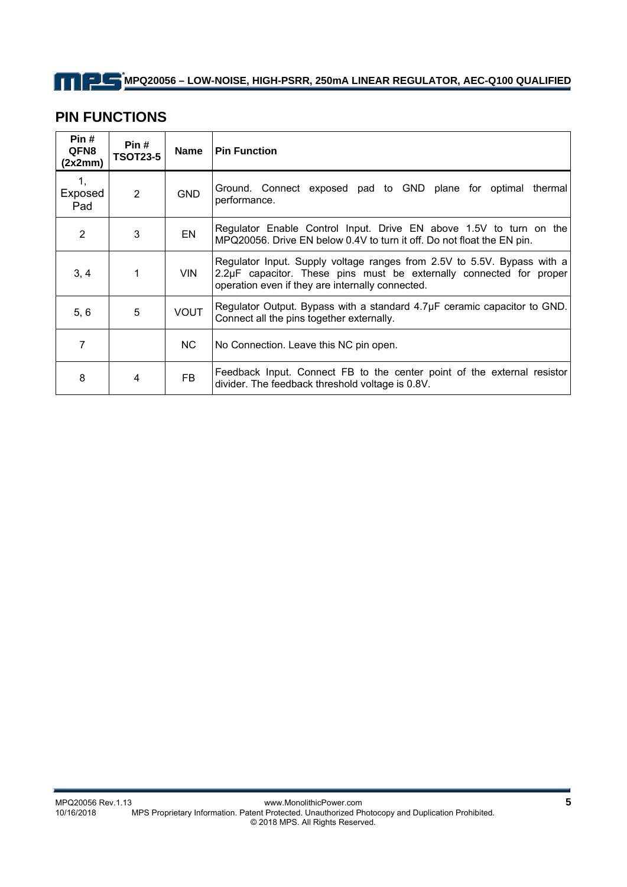## **PIN FUNCTIONS**

| Pin#<br>QFN8<br>(2x2mm) | Pin#<br><b>TSOT23-5</b> | <b>Name</b> | <b>Pin Function</b>                                                                                                                                                                                |  |
|-------------------------|-------------------------|-------------|----------------------------------------------------------------------------------------------------------------------------------------------------------------------------------------------------|--|
| 1,<br>Exposed<br>Pad    | 2                       | <b>GND</b>  | Ground. Connect exposed pad to GND plane for optimal thermal<br>performance.                                                                                                                       |  |
| 2                       | 3                       | EN          | Regulator Enable Control Input. Drive EN above 1.5V to turn on the<br>MPQ20056. Drive EN below 0.4V to turn it off. Do not float the EN pin.                                                       |  |
| 3, 4                    | 1                       | <b>VIN</b>  | Regulator Input. Supply voltage ranges from 2.5V to 5.5V. Bypass with a<br>2.2µF capacitor. These pins must be externally connected for proper<br>operation even if they are internally connected. |  |
| 5, 6                    | 5                       | <b>VOUT</b> | Regulator Output. Bypass with a standard $4.7\mu$ F ceramic capacitor to GND.<br>Connect all the pins together externally.                                                                         |  |
| 7                       |                         | NC.         | No Connection. Leave this NC pin open.                                                                                                                                                             |  |
| 8                       | 4                       | FB          | Feedback Input. Connect FB to the center point of the external resistor<br>divider. The feedback threshold voltage is 0.8V.                                                                        |  |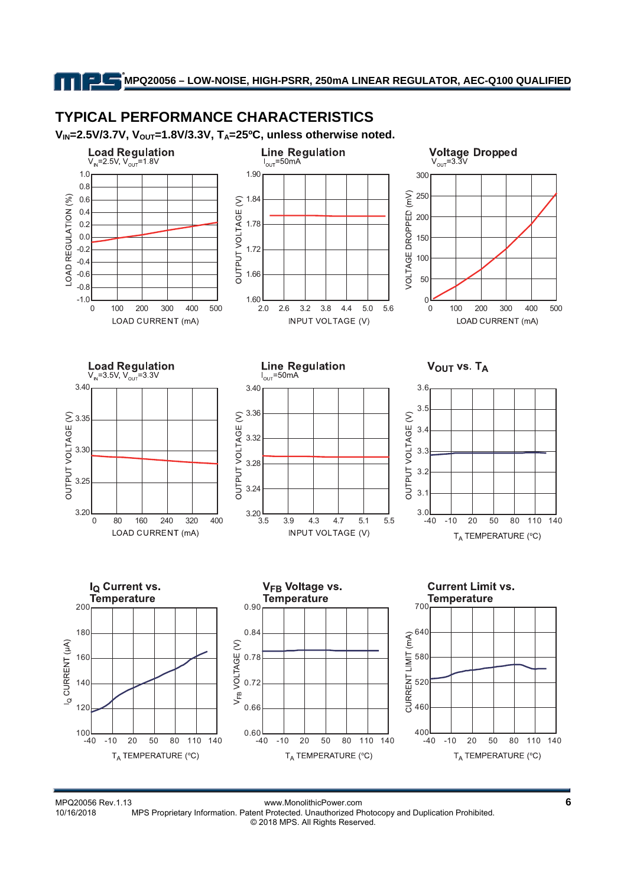# **TYPICAL PERFORMANCE CHARACTERISTICS**

V<sub>IN</sub>=2.5V/3.7V, V<sub>OUT</sub>=1.8V/3.3V, T<sub>A</sub>=25<sup>o</sup>C, unless otherwise noted.



MPQ20056 Rev.1.13 www.MonolithicPower.com<br>10/16/2018 MPS Proprietary Information. Patent Protected. Unauthorized Photocopy and Duplication Prohibited. MPS Proprietary Information. Patent Protected. Unauthorized Photocopy and Duplication Prohibited. © 2018 MPS. All Rights Reserved.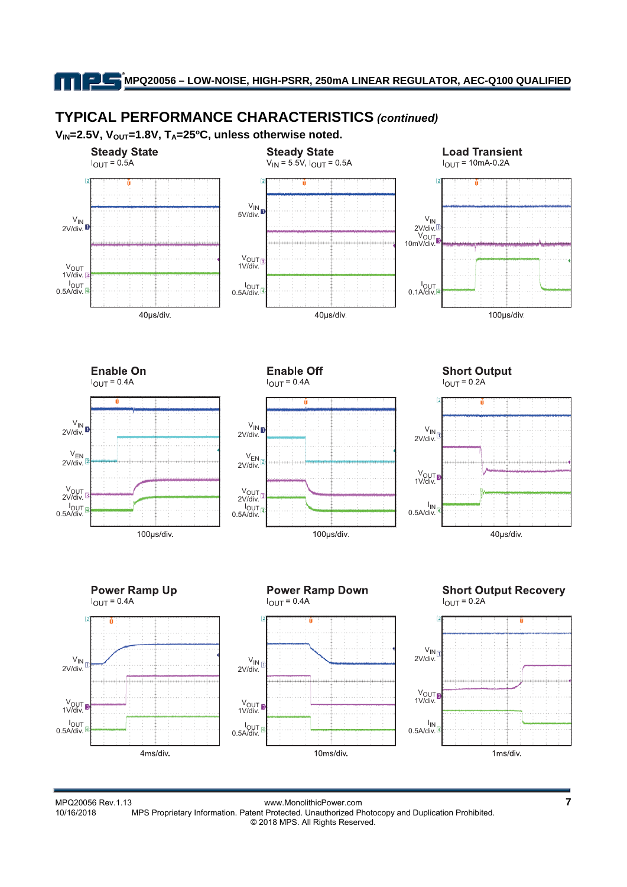# **TYPICAL PERFORMANCE CHARACTERISTICS** *(continued)*

V<sub>IN</sub>=2.5V, V<sub>OUT</sub>=1.8V, T<sub>A</sub>=25<sup>o</sup>C, unless otherwise noted.



MPQ20056 Rev.1.13 www.MonolithicPower.com **7** MPS Proprietary Information. Patent Protected. Unauthorized Photocopy and Duplication Prohibited. © 2018 MPS. All Rights Reserved.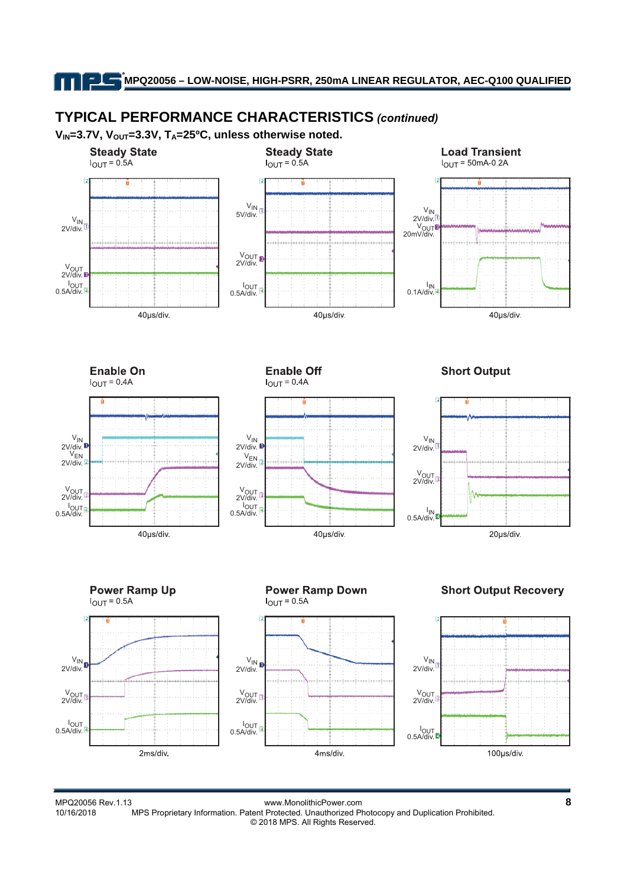# **TYPICAL PERFORMANCE CHARACTERISTICS** *(continued)*

V<sub>IN</sub>=3.7V, V<sub>OUT</sub>=3.3V, T<sub>A</sub>=25<sup>o</sup>C, unless otherwise noted.



MPQ20056 Rev.1.13 www.MonolithicPower.com **8** MPS Proprietary Information. Patent Protected. Unauthorized Photocopy and Duplication Prohibited. © 2018 MPS. All Rights Reserved.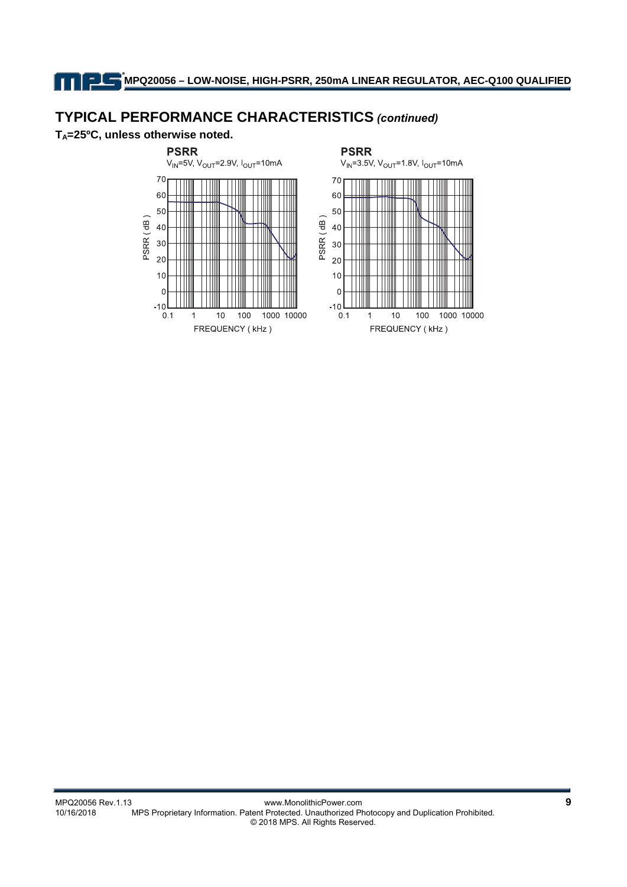# **TYPICAL PERFORMANCE CHARACTERISTICS** *(continued)*

**TA=25ºC, unless otherwise noted.** 

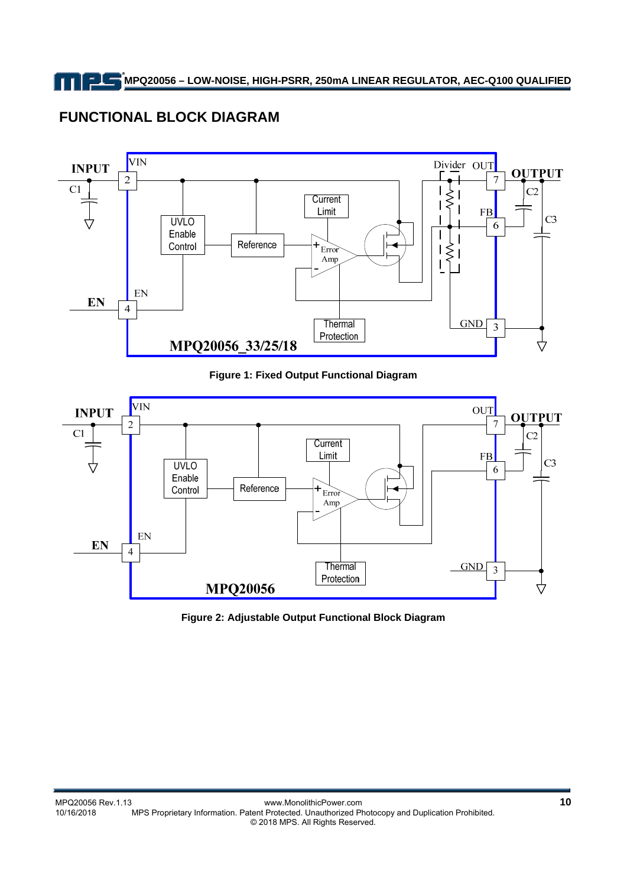# **FUNCTIONAL BLOCK DIAGRAM**



### **Figure 1: Fixed Output Functional Diagram**



**Figure 2: Adjustable Output Functional Block Diagram**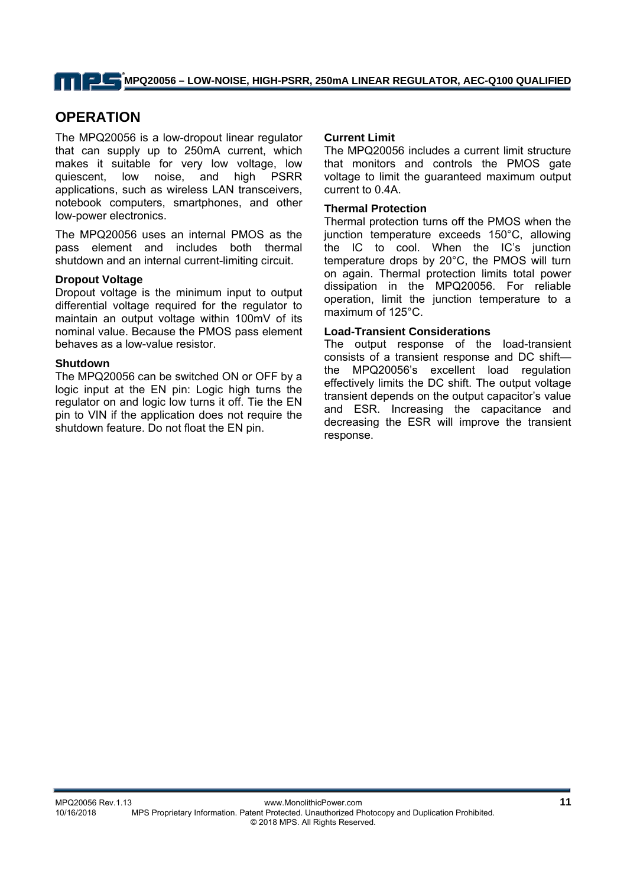## **OPERATION**

The MPQ20056 is a low-dropout linear regulator that can supply up to 250mA current, which makes it suitable for very low voltage, low quiescent, low noise, and high PSRR applications, such as wireless LAN transceivers, notebook computers, smartphones, and other low-power electronics.

The MPQ20056 uses an internal PMOS as the pass element and includes both thermal shutdown and an internal current-limiting circuit.

#### **Dropout Voltage**

Dropout voltage is the minimum input to output differential voltage required for the regulator to maintain an output voltage within 100mV of its nominal value. Because the PMOS pass element behaves as a low-value resistor.

#### **Shutdown**

The MPQ20056 can be switched ON or OFF by a logic input at the EN pin: Logic high turns the regulator on and logic low turns it off. Tie the EN pin to VIN if the application does not require the shutdown feature. Do not float the EN pin.

#### **Current Limit**

The MPQ20056 includes a current limit structure that monitors and controls the PMOS gate voltage to limit the guaranteed maximum output current to 0.4A.

#### **Thermal Protection**

Thermal protection turns off the PMOS when the junction temperature exceeds 150°C, allowing the IC to cool. When the IC's junction temperature drops by 20°C, the PMOS will turn on again. Thermal protection limits total power dissipation in the MPQ20056. For reliable operation, limit the junction temperature to a maximum of 125°C.

#### **Load-Transient Considerations**

The output response of the load-transient consists of a transient response and DC shift the MPQ20056's excellent load regulation effectively limits the DC shift. The output voltage transient depends on the output capacitor's value and ESR. Increasing the capacitance and decreasing the ESR will improve the transient response.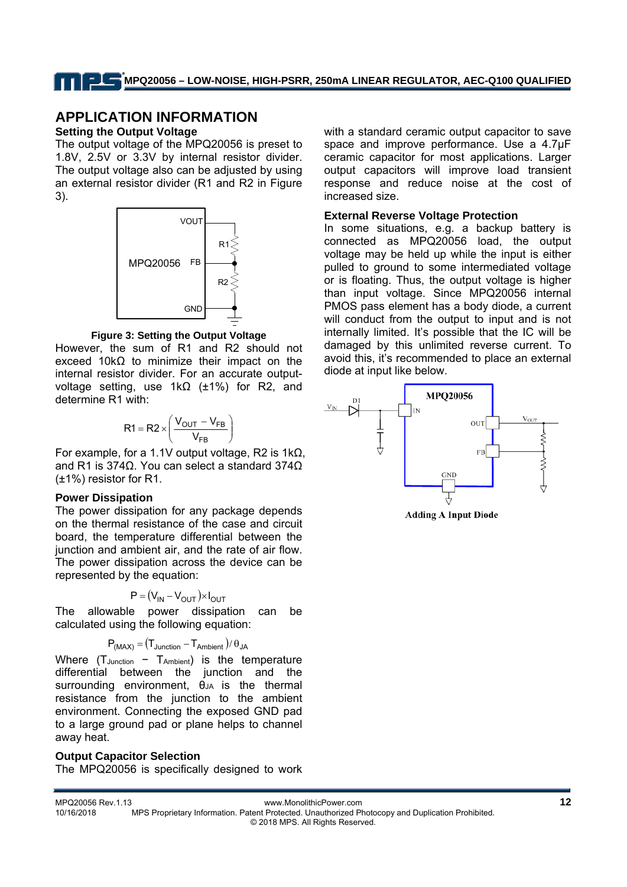## **APPLICATION INFORMATION**

#### **Setting the Output Voltage**

The output voltage of the MPQ20056 is preset to 1.8V, 2.5V or 3.3V by internal resistor divider. The output voltage also can be adjusted by using an external resistor divider (R1 and R2 in Figure 3).



**Figure 3: Setting the Output Voltage** 

However, the sum of R1 and R2 should not exceed 10kΩ to minimize their impact on the internal resistor divider. For an accurate outputvoltage setting, use 1kΩ (±1%) for R2, and determine R1 with:

$$
R1 = R2 \times \left(\frac{V_{OUT} - V_{FB}}{V_{FB}}\right)
$$

For example, for a 1.1V output voltage, R2 is 1kΩ, and R1 is 374Ω. You can select a standard 374Ω (±1%) resistor for R1.

#### **Power Dissipation**

The power dissipation for any package depends on the thermal resistance of the case and circuit board, the temperature differential between the junction and ambient air, and the rate of air flow. The power dissipation across the device can be represented by the equation:

$$
P = (V_{IN} - V_{OUT}) \times I_{OUT}
$$

The allowable power dissipation can be calculated using the following equation:

$$
P_{(MAX)} = (T_{Junction} - T_{Ambient}) / \theta_{JA}
$$

Where  $(T_{\text{Junction}} - T_{\text{Ambient}})$  is the temperature differential between the junction and the surrounding environment,  $\theta_{JA}$  is the thermal resistance from the junction to the ambient environment. Connecting the exposed GND pad to a large ground pad or plane helps to channel away heat.

### **Output Capacitor Selection**

The MPQ20056 is specifically designed to work

with a standard ceramic output capacitor to save space and improve performance. Use a 4.7µF ceramic capacitor for most applications. Larger output capacitors will improve load transient response and reduce noise at the cost of increased size.

#### **External Reverse Voltage Protection**

In some situations, e.g. a backup battery is connected as MPQ20056 load, the output voltage may be held up while the input is either pulled to ground to some intermediated voltage or is floating. Thus, the output voltage is higher than input voltage. Since MPQ20056 internal PMOS pass element has a body diode, a current will conduct from the output to input and is not internally limited. It's possible that the IC will be damaged by this unlimited reverse current. To avoid this, it's recommended to place an external diode at input like below.



**Adding A Input Diode**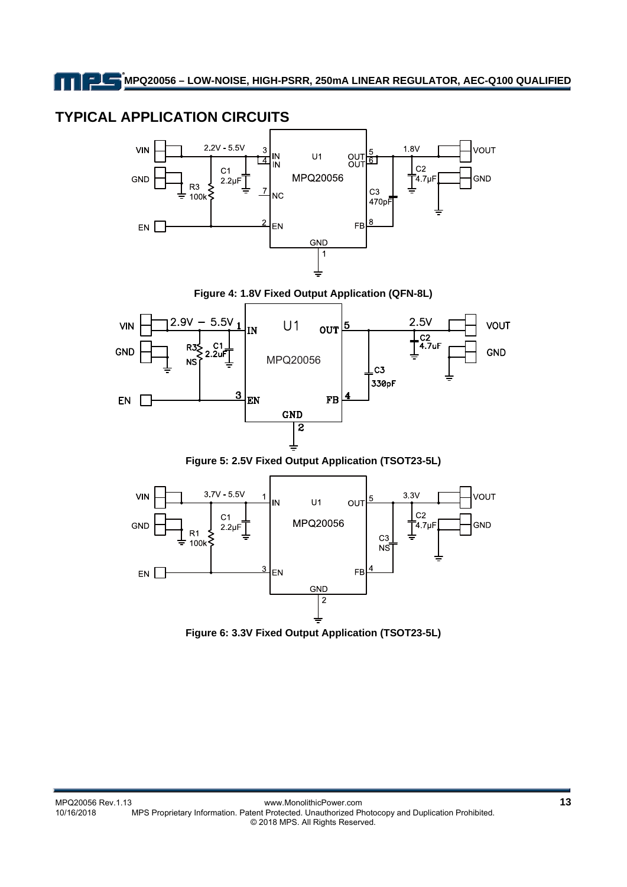# **TYPICAL APPLICATION CIRCUITS**







**Figure 5: 2.5V Fixed Output Application (TSOT23-5L)** 



**Figure 6: 3.3V Fixed Output Application (TSOT23-5L)**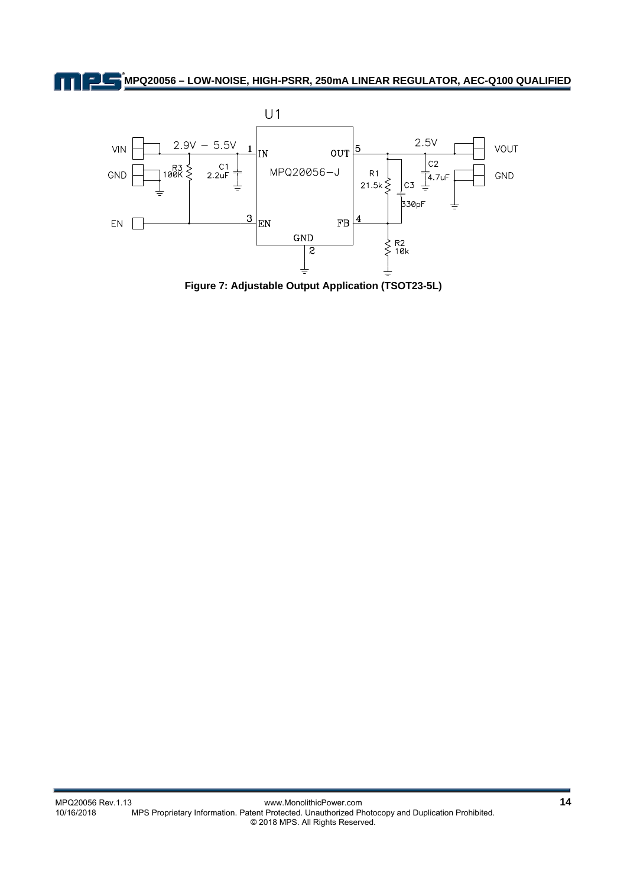

**Figure 7: Adjustable Output Application (TSOT23-5L)**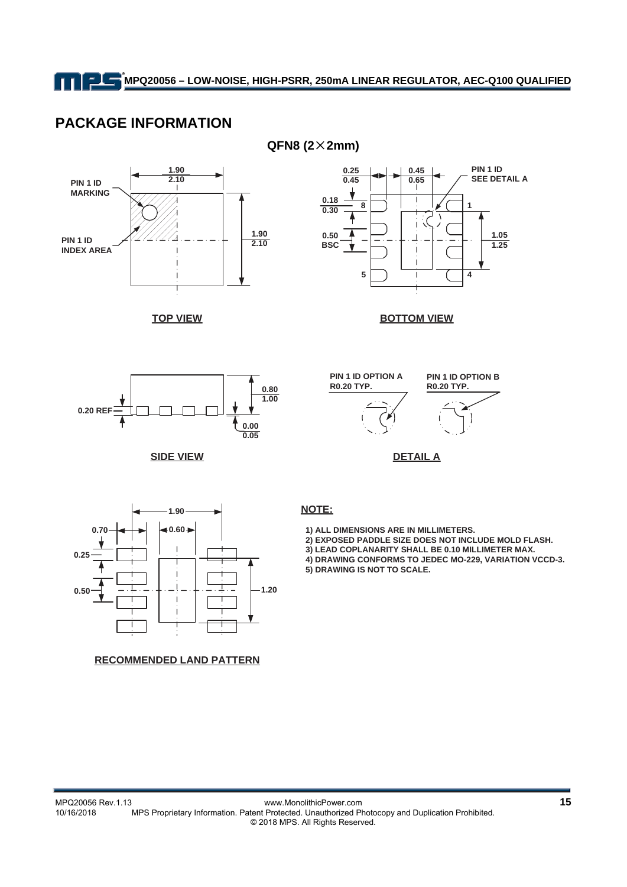## **PACKAGE INFORMATION**







**TOP VIEW**

**BOTTOM VIEW**



**SIDE VIEW**



**DETAIL A**



**RECOMMENDED LAND PATTERN**

 **1) ALL DIMENSIONS ARE IN MILLIMETERS.**

 **2) EXPOSED PADDLE SIZE DOES NOT INCLUDE MOLD FLASH. 3) LEAD COPLANARITY SHALL BE 0.10 MILLIMETER MAX.**

 **4) DRAWING CONFORMS TO JEDEC MO-229, VARIATION VCCD-3.**

 **5) DRAWING IS NOT TO SCALE.**